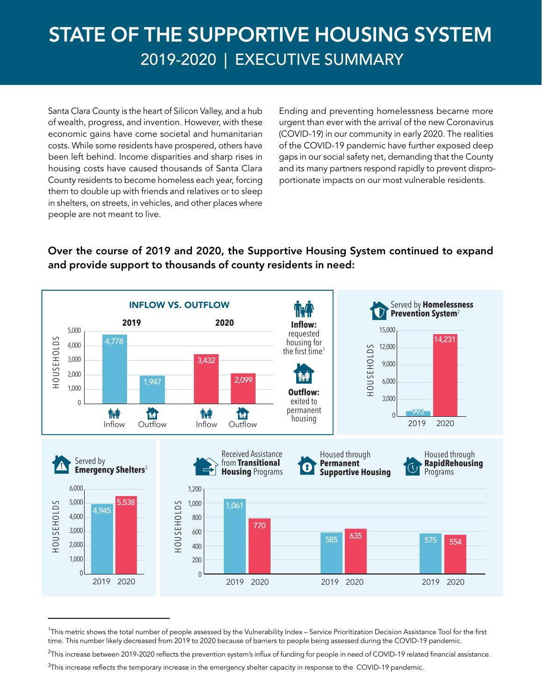# STATE OF THE SUPPORTIVE HOUSING SYSTEM 2019-2020 | EXECUTIVE SUMMARY

Santa Clara County is the heart of Silicon Valley, and a hub of wealth, progress, and invention. However, with these economic gains have come societal and humanitarian costs. While some residents have prospered, others have been left behind. Income disparities and sharp rises in housing costs have caused thousands of Santa Clara County residents to become homeless each year, forcing them to double up with friends and relatives or to sleep in shelters, on streets, in vehicles, and other places where people are not meant to live.

Ending and preventing homelessness became more urgent than ever with the arrival of the new Coronavirus (COVID-19) in our community in early 2020. The realities of the COVID-19 pandemic have further exposed deep gaps in our social safety net, demanding that the County and its many partners respond rapidly to prevent disproportionate impacts on our most vulnerable residents.

#### Over the course of 2019 and 2020, the Supportive Housing System continued to expand and provide support to thousands of county residents in need:



<sup>&</sup>lt;sup>1</sup>This metric shows the total number of people assessed by the Vulnerability Index – Service Prioritization Decision Assistance Tool for the first time. This number likely decreased from 2019 to 2020 because of barriers to people being assessed during the COVID-19 pandemic.

 $^2$ This increase between 2019-2020 reflects the prevention system's influx of funding for people in need of COVID-19 related financial assistance.

 $^3$ This increase reflects the temporary increase in the emergency shelter capacity in response to the COVID-19 pandemic.